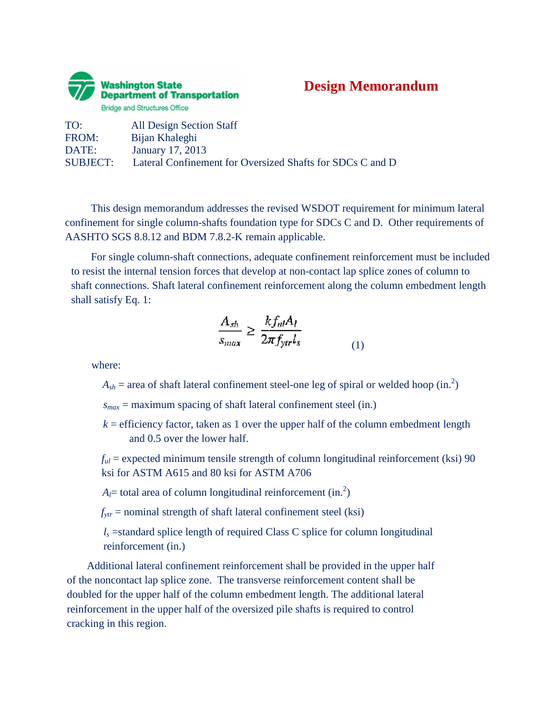

## **Design Memorandum**

| TO:             | <b>All Design Section Staff</b>                           |
|-----------------|-----------------------------------------------------------|
| FROM:           | Bijan Khaleghi                                            |
| DATE:           | January 17, 2013                                          |
| <b>SUBJECT:</b> | Lateral Confinement for Oversized Shafts for SDCs C and D |

This design memorandum addresses the revised WSDOT requirement for minimum lateral confinement for single column-shafts foundation type for SDCs C and D. Other requirements of AASHTO SGS 8.8.12 and BDM 7.8.2-K remain applicable.

For single column-shaft connections, adequate confinement reinforcement must be included to resist the internal tension forces that develop at non-contact lap splice zones of column to shaft connections. Shaft lateral confinement reinforcement along the column embedment length shall satisfy Eq. 1:

$$
\frac{A_{sh}}{s_{max}} \ge \frac{k f_{ul} A_l}{2\pi f_{ytr} l_s} \tag{1}
$$

where:

 $A_{sh}$  = area of shaft lateral confinement steel-one leg of spiral or welded hoop (in.<sup>2</sup>)

 $s_{max}$  = maximum spacing of shaft lateral confinement steel (in.)

 $k =$  efficiency factor, taken as 1 over the upper half of the column embedment length and 0.5 over the lower half.

 $f_{ul}$  = expected minimum tensile strength of column longitudinal reinforcement (ksi) 90 ksi for ASTM A615 and 80 ksi for ASTM A706

 $A_l$ = total area of column longitudinal reinforcement (in.<sup>2</sup>)

 $f_{ytr}$  = nominal strength of shaft lateral confinement steel (ksi)

 $l<sub>s</sub>$  =standard splice length of required Class C splice for column longitudinal reinforcement (in.)

Additional lateral confinement reinforcement shall be provided in the upper half of the noncontact lap splice zone. The transverse reinforcement content shall be doubled for the upper half of the column embedment length. The additional lateral reinforcement in the upper half of the oversized pile shafts is required to control cracking in this region.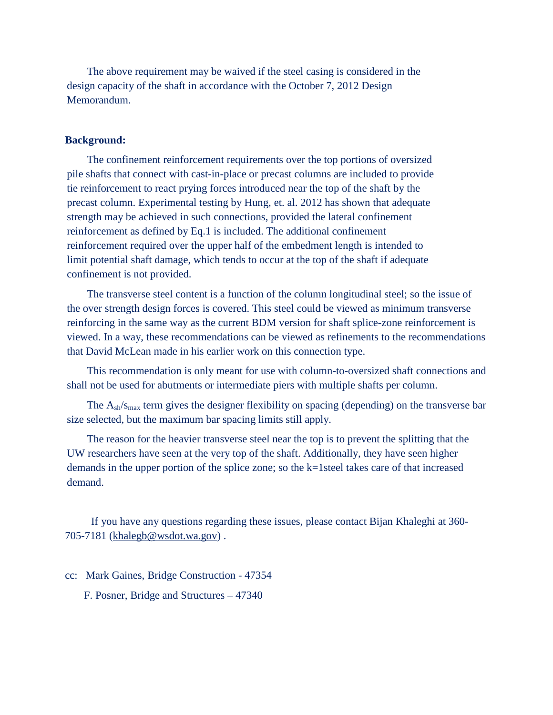The above requirement may be waived if the steel casing is considered in the design capacity of the shaft in accordance with the October 7, 2012 Design Memorandum.

## **Background:**

The confinement reinforcement requirements over the top portions of oversized pile shafts that connect with cast-in-place or precast columns are included to provide tie reinforcement to react prying forces introduced near the top of the shaft by the precast column. Experimental testing by Hung, et. al. 2012 has shown that adequate strength may be achieved in such connections, provided the lateral confinement reinforcement as defined by Eq.1 is included. The additional confinement reinforcement required over the upper half of the embedment length is intended to limit potential shaft damage, which tends to occur at the top of the shaft if adequate confinement is not provided.

The transverse steel content is a function of the column longitudinal steel; so the issue of the over strength design forces is covered. This steel could be viewed as minimum transverse reinforcing in the same way as the current BDM version for shaft splice-zone reinforcement is viewed. In a way, these recommendations can be viewed as refinements to the recommendations that David McLean made in his earlier work on this connection type.

This recommendation is only meant for use with column-to-oversized shaft connections and shall not be used for abutments or intermediate piers with multiple shafts per column.

The  $A_{sh}/s_{max}$  term gives the designer flexibility on spacing (depending) on the transverse bar size selected, but the maximum bar spacing limits still apply.

The reason for the heavier transverse steel near the top is to prevent the splitting that the UW researchers have seen at the very top of the shaft. Additionally, they have seen higher demands in the upper portion of the splice zone; so the k=1steel takes care of that increased demand.

If you have any questions regarding these issues, please contact Bijan Khaleghi at 360- 705-7181 [\(khalegb@wsdot.wa.gov\)](mailto:khalegb@wsdot.wa.gov) .

cc: Mark Gaines, Bridge Construction - 47354

F. Posner, Bridge and Structures – 47340